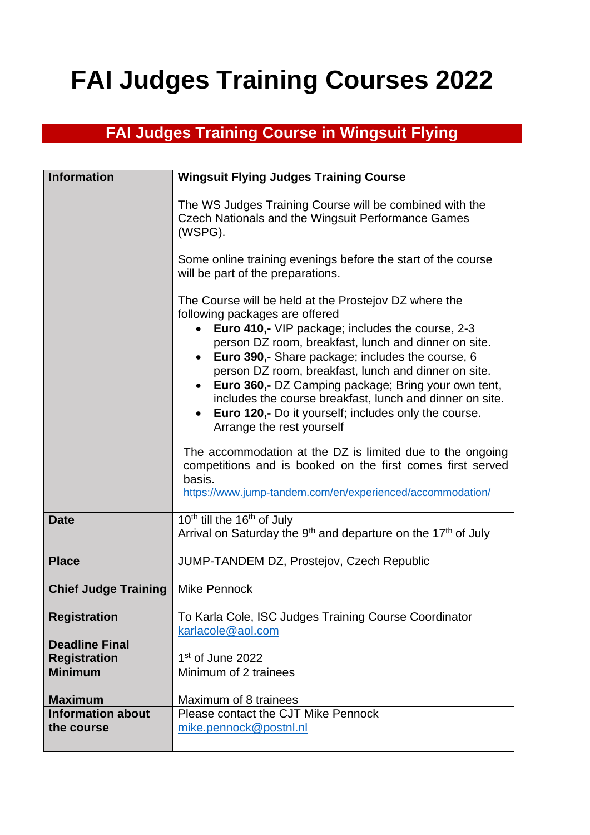## **FAI Judges Training Courses 2022**

## **FAI Judges Training Course in Wingsuit Flying**

| <b>Information</b>          | <b>Wingsuit Flying Judges Training Course</b>                                                                                                                                                                                                                                                                                                                                                                                                                                                                                      |
|-----------------------------|------------------------------------------------------------------------------------------------------------------------------------------------------------------------------------------------------------------------------------------------------------------------------------------------------------------------------------------------------------------------------------------------------------------------------------------------------------------------------------------------------------------------------------|
|                             | The WS Judges Training Course will be combined with the<br><b>Czech Nationals and the Wingsuit Performance Games</b><br>(WSPG).                                                                                                                                                                                                                                                                                                                                                                                                    |
|                             | Some online training evenings before the start of the course<br>will be part of the preparations.                                                                                                                                                                                                                                                                                                                                                                                                                                  |
|                             | The Course will be held at the Prostejov DZ where the<br>following packages are offered<br><b>Euro 410,-</b> VIP package; includes the course, 2-3<br>person DZ room, breakfast, lunch and dinner on site.<br>• Euro 390,- Share package; includes the course, 6<br>person DZ room, breakfast, lunch and dinner on site.<br>Euro 360,- DZ Camping package; Bring your own tent,<br>includes the course breakfast, lunch and dinner on site.<br>• Euro 120,- Do it yourself; includes only the course.<br>Arrange the rest yourself |
|                             | The accommodation at the DZ is limited due to the ongoing<br>competitions and is booked on the first comes first served<br>basis.<br>https://www.jump-tandem.com/en/experienced/accommodation/                                                                                                                                                                                                                                                                                                                                     |
| <b>Date</b>                 | 10 <sup>th</sup> till the 16 <sup>th</sup> of July<br>Arrival on Saturday the 9 <sup>th</sup> and departure on the 17 <sup>th</sup> of July                                                                                                                                                                                                                                                                                                                                                                                        |
| <b>Place</b>                | JUMP-TANDEM DZ, Prostejov, Czech Republic                                                                                                                                                                                                                                                                                                                                                                                                                                                                                          |
| <b>Chief Judge Training</b> | <b>Mike Pennock</b>                                                                                                                                                                                                                                                                                                                                                                                                                                                                                                                |
| <b>Registration</b>         | To Karla Cole, ISC Judges Training Course Coordinator<br>karlacole@aol.com                                                                                                                                                                                                                                                                                                                                                                                                                                                         |
| <b>Deadline Final</b>       |                                                                                                                                                                                                                                                                                                                                                                                                                                                                                                                                    |
| <b>Registration</b>         | 1st of June 2022                                                                                                                                                                                                                                                                                                                                                                                                                                                                                                                   |
| <b>Minimum</b>              | Minimum of 2 trainees                                                                                                                                                                                                                                                                                                                                                                                                                                                                                                              |
| <b>Maximum</b>              | Maximum of 8 trainees                                                                                                                                                                                                                                                                                                                                                                                                                                                                                                              |
| <b>Information about</b>    | Please contact the CJT Mike Pennock                                                                                                                                                                                                                                                                                                                                                                                                                                                                                                |
| the course                  | mike.pennock@postnl.nl                                                                                                                                                                                                                                                                                                                                                                                                                                                                                                             |